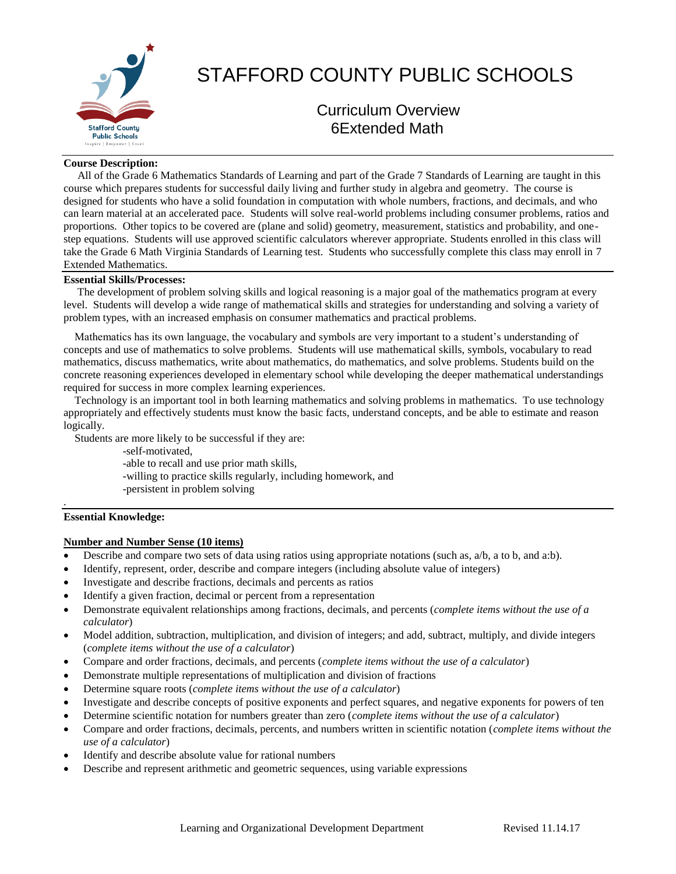

# STAFFORD COUNTY PUBLIC SCHOOLS

Curriculum Overview 6Extended Math

#### **Course Description:**

 All of the Grade 6 Mathematics Standards of Learning and part of the Grade 7 Standards of Learning are taught in this course which prepares students for successful daily living and further study in algebra and geometry. The course is designed for students who have a solid foundation in computation with whole numbers, fractions, and decimals, and who can learn material at an accelerated pace. Students will solve real-world problems including consumer problems, ratios and proportions. Other topics to be covered are (plane and solid) geometry, measurement, statistics and probability, and onestep equations. Students will use approved scientific calculators wherever appropriate. Students enrolled in this class will take the Grade 6 Math Virginia Standards of Learning test. Students who successfully complete this class may enroll in 7 Extended Mathematics.

# **Essential Skills/Processes:**

 The development of problem solving skills and logical reasoning is a major goal of the mathematics program at every level. Students will develop a wide range of mathematical skills and strategies for understanding and solving a variety of problem types, with an increased emphasis on consumer mathematics and practical problems.

 Mathematics has its own language, the vocabulary and symbols are very important to a student's understanding of concepts and use of mathematics to solve problems. Students will use mathematical skills, symbols, vocabulary to read mathematics, discuss mathematics, write about mathematics, do mathematics, and solve problems. Students build on the concrete reasoning experiences developed in elementary school while developing the deeper mathematical understandings required for success in more complex learning experiences.

 Technology is an important tool in both learning mathematics and solving problems in mathematics. To use technology appropriately and effectively students must know the basic facts, understand concepts, and be able to estimate and reason logically.

Students are more likely to be successful if they are:

-self-motivated,

-able to recall and use prior math skills,

- -willing to practice skills regularly, including homework, and
- -persistent in problem solving

#### **Essential Knowledge:**

.

# **Number and Number Sense (10 items)**

- Describe and compare two sets of data using ratios using appropriate notations (such as, a/b, a to b, and a:b).
- Identify, represent, order, describe and compare integers (including absolute value of integers)
- Investigate and describe fractions, decimals and percents as ratios
- Identify a given fraction, decimal or percent from a representation
- Demonstrate equivalent relationships among fractions, decimals, and percents (*complete items without the use of a calculator*)
- Model addition, subtraction, multiplication, and division of integers; and add, subtract, multiply, and divide integers (*complete items without the use of a calculator*)
- Compare and order fractions, decimals, and percents (*complete items without the use of a calculator*)
- Demonstrate multiple representations of multiplication and division of fractions
- Determine square roots (*complete items without the use of a calculator*)
- Investigate and describe concepts of positive exponents and perfect squares, and negative exponents for powers of ten
- Determine scientific notation for numbers greater than zero (*complete items without the use of a calculator*)
- Compare and order fractions, decimals, percents, and numbers written in scientific notation (*complete items without the use of a calculator*)
- Identify and describe absolute value for rational numbers
- Describe and represent arithmetic and geometric sequences, using variable expressions